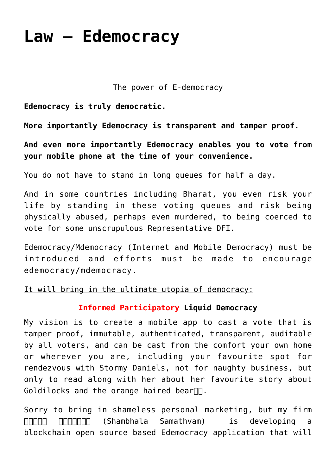## **[Law – Edemocracy](https://aryadharma.world/laws/details-of-the-law/law-administration/edemocracy/)**

The power of E-democracy

**Edemocracy is truly democratic.** 

**More importantly Edemocracy is transparent and tamper proof.**

**And even more importantly Edemocracy enables you to vote from your mobile phone at the time of your convenience.**

You do not have to stand in long queues for half a day.

And in some countries including [Bharat](http://aryadharma.world/bharat/), you even risk your life by standing in these voting queues and risk being physically abused, perhaps even murdered, to being coerced to vote for some unscrupulous [Representative DFI](http://aryadharma.world/fukus/repsofpeople/).

[Edemocracy/Mdemocracy](http://aryadharma.world/edemocracy/) (Internet and Mobile Democracy) must be introduced and efforts must be made to encourage edemocracy/mdemocracy.

## It will bring in the ultimate utopia of democracy:

## **Informed Participatory [Liquid](https://en.wikipedia.org/wiki/Delegative_democracy) [Democracy](https://aryadharma.world/articles/democracy/)**

My vision is to create a mobile app to cast a vote that is tamper proof, immutable, authenticated, transparent, auditable by all voters, and can be cast from the comfort your own home or wherever you are, including your favourite spot for rendezvous with [Stormy Daniels](https://en.wikipedia.org/wiki/Stormy_Daniels), not for naughty business, but only to read along with her about her favourite story about [Goldilocks](https://en.wikipedia.org/wiki/Goldilocks_and_the_Three_Bears) and the [orange haired bear](https://aryadharma.world/fukus/the-pompous-prick/) $\square$ .

Sorry to bring in shameless personal marketing, but my firm [शम्भल समत्वम् \(Shambhala Samathvam\)](http://www.shambhala.global) is developing a [blockchain](https://en.wikipedia.org/wiki/Blockchain) open source based Edemocracy application that will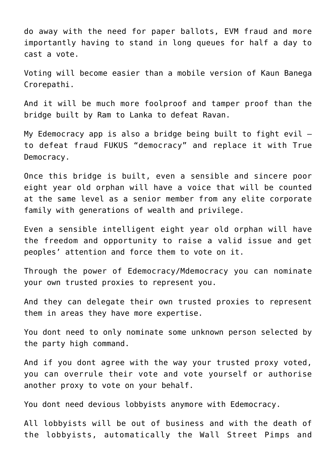do away with the need for paper ballots, EVM fraud and more importantly having to stand in long queues for half a day to cast a vote.

Voting will become easier than a mobile version of [Kaun Banega](https://en.wikipedia.org/wiki/Kaun_Banega_Crorepati) [Crorepathi.](https://en.wikipedia.org/wiki/Kaun_Banega_Crorepati)

And it will be much more foolproof and tamper proof than the bridge built by [Ram](https://en.wikipedia.org/wiki/Rama) to Lanka to defeat [Ravan](https://en.wikipedia.org/wiki/Ravana).

My Edemocracy app is also a bridge being built to fight evil  $$ to defeat fraud [FUKUS](https://aryadharma.world/fukus/) "[democracy](https://aryadharma.world/fukus/repsofpeople/)" and replace it with [True](https://aryadharma.world/articles/democracy/) [Democracy.](https://aryadharma.world/articles/democracy/)

Once this bridge is built, even a sensible and sincere poor eight year old orphan will have a voice that will be counted at the same level as a senior member from any elite corporate family with generations of wealth and privilege.

Even a sensible intelligent eight year old orphan will have the freedom and opportunity to raise a valid issue and get peoples' attention and force them to vote on it.

Through the power of [Edemocracy/Mdemocracy](http://aryadharma.world/edemocracy/) you can nominate your own trusted proxies to represent you.

And they can delegate their own trusted proxies to represent them in areas they have more expertise.

You dont need to only nominate some unknown person selected by the party high command.

And if you dont agree with the way your trusted proxy voted, you can overrule their vote and vote yourself or authorise another proxy to vote on your behalf.

You dont need devious lobbyists anymore with Edemocracy.

All lobbyists will be out of business and with the death of the lobbyists, automatically the [Wall Street Pimps](https://aryadharma.world/fukus/wallstreetpimps/) and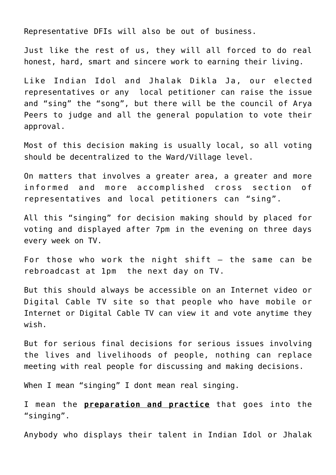[Representative DFIs](https://aryadharma.world/fukus/repsofpeople/) will also be out of business.

Just like the rest of us, they will all forced to do real honest, hard, smart and sincere work to earning their living.

Like [Indian Idol](http://en.wikipedia.org/wiki/Indian_Idol) and [Jhalak Dikla Ja](https://en.wikipedia.org/wiki/Jhalak_Dikhhla_Jaa), our [elected](http://aryadharma.world/law-elected-representatives/) [representatives](http://aryadharma.world/law-elected-representatives/) or any [local](http://aryadharma.world/laws_immigration/) petitioner can raise the issue and "sing" the "song", but there will be the [council of Arya](https://aryadharma.world/laws/details-of-the-law/law-the-council-of-arya/) [Peers](https://aryadharma.world/laws/details-of-the-law/law-the-council-of-arya/) to judge and all the general population to vote their approval.

Most of this decision making is usually local, so all voting should be decentralized to the Ward/Village level.

On matters that involves a greater area, a greater and more informed and more accomplished cross section of representatives and local petitioners can "sing".

All this "singing" for decision making should by placed for voting and displayed after 7pm in the evening on three days every week on TV.

For those who work the night shift  $-$  the same can be rebroadcast at 1pm the next day on TV.

But this should always be accessible on an Internet video or Digital Cable TV site so that people who have mobile or Internet or Digital Cable TV can view it and vote anytime they wish.

But for serious final decisions for serious issues involving the lives and livelihoods of people, nothing can replace meeting with real people for discussing and making decisions.

When I mean "singing" I dont mean real singing.

I mean the **preparation and practice** that goes into the "singing".

Anybody who displays their talent in [Indian Idol](http://en.wikipedia.org/wiki/Indian_Idol) or [Jhalak](https://en.wikipedia.org/wiki/Jhalak_Dikhhla_Jaa)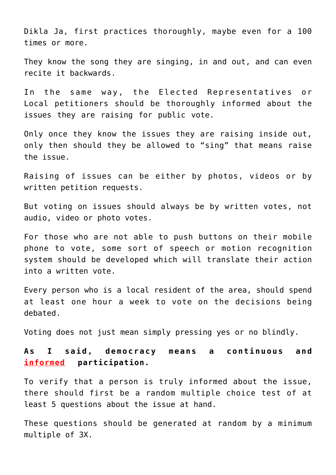[Dikla Ja,](https://en.wikipedia.org/wiki/Jhalak_Dikhhla_Jaa) first practices thoroughly, maybe even for a 100 times or more.

They know the song they are singing, in and out, and can even recite it backwards.

In the same way, the [Elected Representatives](http://aryadharma.world/law-elected-representatives/) or [Local](http://aryadharma.world/laws_immigration/) petitioners should be thoroughly informed about the issues they are raising for public vote.

Only once they know the issues they are raising inside out, only then should they be allowed to "sing" that means raise the issue.

Raising of issues can be either by photos, videos or by written petition requests.

But voting on issues should always be by written votes, not audio, video or photo votes.

For those who are not able to push buttons on their mobile phone to vote, some sort of speech or motion recognition system should be developed which will translate their action into a written vote.

Every person who is a [local](http://aryadharma.world/laws_immigration/) resident of the area, should spend at least one hour a week to vote on the decisions being debated.

Voting does not just mean simply pressing yes or no blindly.

**As I said, democracy means a continuous and informed participation.**

To verify that a person is truly informed about the issue, there should first be a random multiple choice test of at least 5 questions about the issue at hand.

These questions should be generated at random by a minimum multiple of 3X.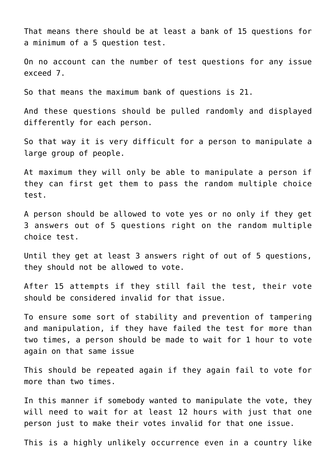That means there should be at least a bank of 15 questions for a minimum of a 5 question test.

On no account can the number of test questions for any issue exceed 7.

So that means the maximum bank of questions is 21.

And these questions should be pulled randomly and displayed differently for each person.

So that way it is very difficult for a person to manipulate a large group of people.

At maximum they will only be able to manipulate a person if they can first get them to pass the random multiple choice test.

A person should be allowed to vote yes or no only if they get 3 answers out of 5 questions right on the random multiple choice test.

Until they get at least 3 answers right of out of 5 questions, they should not be allowed to vote.

After 15 attempts if they still fail the test, their vote should be considered invalid for that issue.

To ensure some sort of stability and prevention of tampering and manipulation, if they have failed the test for more than two times, a person should be made to wait for 1 hour to vote again on that same issue

This should be repeated again if they again fail to vote for more than two times.

In this manner if somebody wanted to manipulate the vote, they will need to wait for at least 12 hours with just that one person just to make their votes invalid for that one issue.

This is a highly unlikely occurrence even in a country like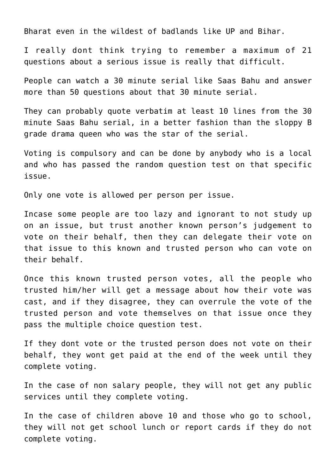Bharat even in the wildest of badlands like UP and Bihar.

I really dont think trying to remember a maximum of 21 questions about a serious issue is really that difficult.

People can watch a 30 minute serial like [Saas Bahu](https://en.wikipedia.org/wiki/Kyunki_Saas_Bhi_Kabhi_Bahu_Thi) and answer more than 50 questions about that 30 minute serial.

They can probably quote verbatim at least 10 lines from the 30 minute [Saas Bahu](https://en.wikipedia.org/wiki/Kyunki_Saas_Bhi_Kabhi_Bahu_Thi) serial, in a better fashion than the sloppy B grade drama queen who was the star of the serial.

Voting is compulsory and can be done by anybody who is a [local](http://aryadharma.world/laws_immigration/) and who has passed the random question test on that specific issue.

Only one vote is allowed per person per issue.

Incase some people are too lazy and ignorant to not study up on an issue, but trust another known person's judgement to vote on their behalf, then they can delegate their vote on that issue to this known and trusted person who can vote on their behalf.

Once this known trusted person votes, all the people who trusted him/her will get a message about how their vote was cast, and if they disagree, they can overrule the vote of the trusted person and vote themselves on that issue once they pass the multiple choice question test.

If they dont vote or the trusted person does not vote on their behalf, they wont get paid at the end of the week until they complete voting.

In the case of non salary people, they will not get any public services until they complete voting.

In the case of children above 10 and those who go to school, they will not get school lunch or report cards if they do not complete voting.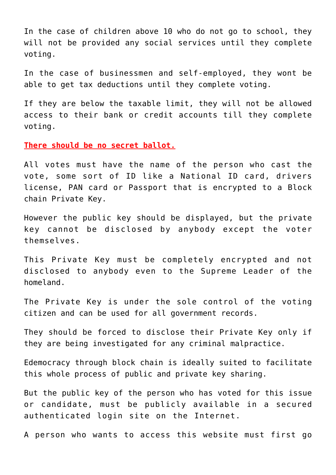In the case of children above 10 who do not go to school, they will not be provided any social services until they complete voting.

In the case of businessmen and self-employed, they wont be able to get tax deductions until they complete voting.

If they are below the taxable limit, they will not be allowed access to their bank or credit accounts till they complete voting.

**There should be no secret ballot.**

All votes must have the name of the person who cast the vote, some sort of ID like a National ID card, drivers license, PAN card or Passport that is encrypted to a [Block](https://en.wikipedia.org/wiki/Blockchain) [chain](https://en.wikipedia.org/wiki/Blockchain) [Private Key.](https://en.wikipedia.org/wiki/Public-key_cryptography)

However the [public key](https://en.wikipedia.org/wiki/Public-key_cryptography) should be displayed, but the private key cannot be disclosed by anybody except the voter themselves.

This [Private Key](https://en.wikipedia.org/wiki/Public-key_cryptography) must be completely encrypted and not disclosed to anybody even to the Supreme Leader of the homeland.

The [Private Key](https://en.wikipedia.org/wiki/Public-key_cryptography) is under the sole control of the voting citizen and can be used for all government records.

They should be forced to disclose their [Private Key](https://en.wikipedia.org/wiki/Public-key_cryptography) only if they are being investigated for any criminal malpractice.

Edemocracy through [block chain](https://en.wikipedia.org/wiki/Blockchain) is ideally suited to facilitate this whole process of public and private key sharing.

But the [public key](https://en.wikipedia.org/wiki/Public-key_cryptography) of the person who has voted for this issue or candidate, must be publicly available in a secured authenticated login site on the Internet.

A person who wants to access this website must first go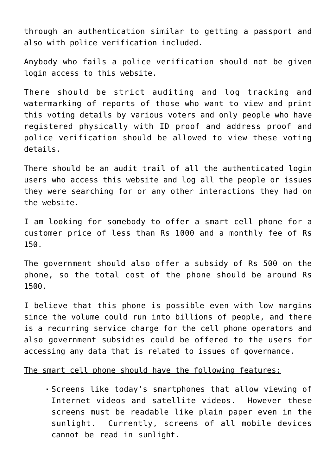through an authentication similar to getting a passport and also with police verification included.

Anybody who fails a police verification should not be given login access to this website.

There should be strict auditing and log tracking and watermarking of reports of those who want to view and print this voting details by various voters and only people who have registered physically with ID proof and address proof and police verification should be allowed to view these voting details.

There should be an [audit trail](https://en.wikipedia.org/wiki/Audit_trail) of all the authenticated login users who access this website and log all the people or issues they were searching for or any other interactions they had on the website.

I am looking for somebody to offer a smart cell phone for a customer price of less than Rs 1000 and a monthly fee of Rs 150.

The government should also offer a subsidy of Rs 500 on the phone, so the total cost of the phone should be around Rs 1500.

I believe that this phone is possible even with low margins since the volume could run into billions of people, and there is a recurring service charge for the cell phone operators and also government subsidies could be offered to the users for accessing any data that is related to issues of governance.

The smart cell phone should have the following features:

Screens like today's smartphones that allow viewing of Internet videos and satellite videos. However these screens must be readable like plain paper even in the sunlight. Currently, screens of all mobile devices cannot be read in sunlight.